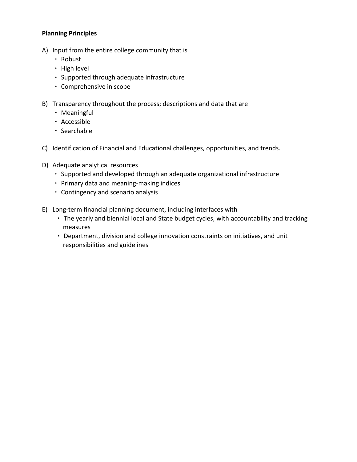## **Planning Principles**

- A) Input from the entire college community that is
	- Robust
	- High level
	- Supported through adequate infrastructure
	- Comprehensive in scope
- B) Transparency throughout the process; descriptions and data that are
	- Meaningful
	- Accessible
	- Searchable
- C) Identification of Financial and Educational challenges, opportunities, and trends.
- D) Adequate analytical resources
	- Supported and developed through an adequate organizational infrastructure
	- Primary data and meaning-making indices
	- Contingency and scenario analysis
- E) Long-term financial planning document, including interfaces with
	- The yearly and biennial local and State budget cycles, with accountability and tracking measures
	- Department, division and college innovation constraints on initiatives, and unit responsibilities and guidelines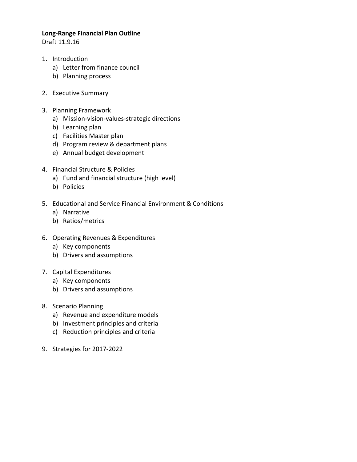## **Long-Range Financial Plan Outline**

Draft 11.9.16

- 1. Introduction
	- a) Letter from finance council
	- b) Planning process
- 2. Executive Summary
- 3. Planning Framework
	- a) Mission-vision-values-strategic directions
	- b) Learning plan
	- c) Facilities Master plan
	- d) Program review & department plans
	- e) Annual budget development
- 4. Financial Structure & Policies
	- a) Fund and financial structure (high level)
	- b) Policies
- 5. Educational and Service Financial Environment & Conditions
	- a) Narrative
	- b) Ratios/metrics
- 6. Operating Revenues & Expenditures
	- a) Key components
	- b) Drivers and assumptions
- 7. Capital Expenditures
	- a) Key components
	- b) Drivers and assumptions
- 8. Scenario Planning
	- a) Revenue and expenditure models
	- b) Investment principles and criteria
	- c) Reduction principles and criteria
- 9. Strategies for 2017-2022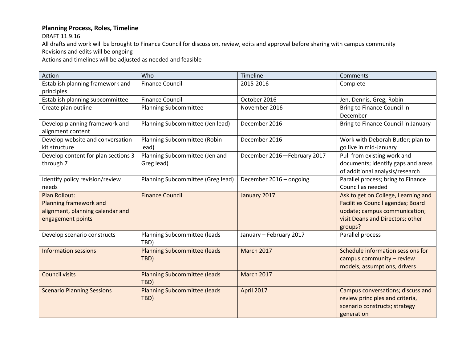## **Planning Process, Roles, Timeline**

DRAFT 11.9.16

All drafts and work will be brought to Finance Council for discussion, review, edits and approval before sharing with campus community Revisions and edits will be ongoing

Actions and timelines will be adjusted as needed and feasible

| Action                              | Who                                 | Timeline                    | Comments                            |
|-------------------------------------|-------------------------------------|-----------------------------|-------------------------------------|
| Establish planning framework and    | <b>Finance Council</b>              | 2015-2016                   | Complete                            |
| principles                          |                                     |                             |                                     |
| Establish planning subcommittee     | <b>Finance Council</b>              | October 2016                | Jen, Dennis, Greg, Robin            |
| Create plan outline                 | <b>Planning Subcommittee</b>        | November 2016               | Bring to Finance Council in         |
|                                     |                                     |                             | December                            |
| Develop planning framework and      | Planning Subcommittee (Jen lead)    | December 2016               | Bring to Finance Council in January |
| alignment content                   |                                     |                             |                                     |
| Develop website and conversation    | Planning Subcommittee (Robin        | December 2016               | Work with Deborah Butler; plan to   |
| kit structure                       | lead)                               |                             | go live in mid-January              |
| Develop content for plan sections 3 | Planning Subcommittee (Jen and      | December 2016-February 2017 | Pull from existing work and         |
| through 7                           | Greg lead)                          |                             | documents; identify gaps and areas  |
|                                     |                                     |                             | of additional analysis/research     |
| Identify policy revision/review     | Planning Subcommittee (Greg lead)   | December 2016 - ongoing     | Parallel process; bring to Finance  |
| needs                               |                                     |                             | Council as needed                   |
| <b>Plan Rollout:</b>                | <b>Finance Council</b>              | January 2017                | Ask to get on College, Learning and |
| Planning framework and              |                                     |                             | Facilities Council agendas; Board   |
| alignment, planning calendar and    |                                     |                             | update; campus communication;       |
| engagement points                   |                                     |                             | visit Deans and Directors; other    |
|                                     |                                     |                             | groups?                             |
| Develop scenario constructs         | Planning Subcommittee (leads        | January - February 2017     | Parallel process                    |
|                                     | TBD)                                |                             |                                     |
| <b>Information sessions</b>         | <b>Planning Subcommittee (leads</b> | <b>March 2017</b>           | Schedule information sessions for   |
|                                     | TBD)                                |                             | campus community - review           |
|                                     |                                     |                             | models, assumptions, drivers        |
| <b>Council visits</b>               | <b>Planning Subcommittee (leads</b> | <b>March 2017</b>           |                                     |
|                                     | TBD)                                |                             |                                     |
| <b>Scenario Planning Sessions</b>   | <b>Planning Subcommittee (leads</b> | April 2017                  | Campus conversations; discuss and   |
|                                     | TBD)                                |                             | review principles and criteria,     |
|                                     |                                     |                             | scenario constructs; strategy       |
|                                     |                                     |                             | generation                          |